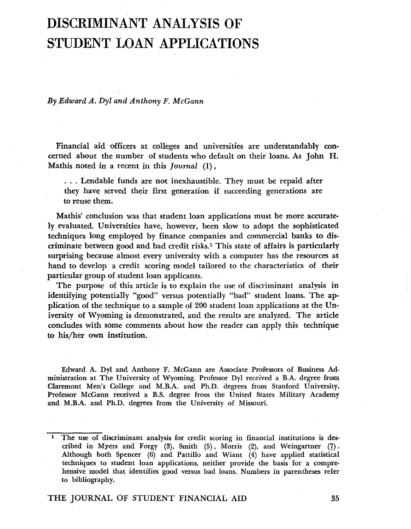# **DISCRIMINANT ANALYSIS OF STUDENT LOAN APPLICATIONS**

By *Edward A. Dyl and Anthony F. McGann* 

Financial aid officers at colleges and universities are understandably concerned about the number of students who default on their loans. As John H. Mathis noted in a recent in this *Journal* (1),

... Lendable funds are not inexhaustible. They must be repaid after they have served their first generation if succeeding generations are to reuse them.

Mathis' conclusion was that student loan applications must be more accurately evaluated. Universities have, however, been slow to adopt the sophisticated techniques long employed by finance companies and commercial banks to discriminate between good and bad credit risks? This state of affairs is particularly surprising because almost every university with a computer has the resources at hand to develop a credit scoring model tailored to the characteristics of their particular group of student loan applicants.

The purpose of this article is to explain the use of discriminant analysis in identifying potentially "good" versus potentially "bad" student loans. The application of the technique to a sample of 200 student loan applications at the University of Wyoming is demonstrated, and the results are analyzed. The article concludes with some comments about how the reader can apply this technique to his/her own institution.

Edward A. Dyl and Anthony F. McGann are Associate Professors of Business Administration at The University of Wyoming. Professor Dyl received a B.A. degree from Claremont Men's College and M.B.A. and Ph.D. degrees from Stanford University. Professor McGann received a B.S. degree from the United States Military Academy and M.B.A. and Ph.D. degrees from the University of Missouri.

<sup>1</sup> The use of discriminant analysis for credit scoring in financial institutions is described in Myers and Forgy (3), Smith (5), Morris (2), and Weingartner (7). Although both Spencer (6) and Pattillo and Wiant (4) have applied statistical techniques to student loan applications, neither provide the basis for a comprehensive model that identifies good versus bad loans. Numbers in parentheses refer to bibliography.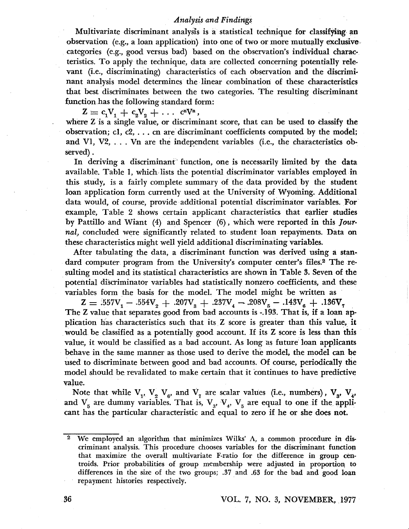## *Analysis and Findiwgs*

Multivariate discriminant analysis is a statistical technique for classifying an observation (e.g., a loan application) into one of two or more mutually exclusive categories (e.g., good versus bad) based on the observation's individual charac· teristics. To apply the technique, data are collected concerning potentially rele· vant (i.e., discriminating) characteristics of each observation and the discrimi· nant analysis model determines the linear combination of these characteristics that best discriminates between the two categories. The resulting discriminant function has the following standard form:

 $Z = c_1V_1 + c_2V_2 + \ldots$  c<sup>n</sup>V<sup>n</sup>, where Z is a single value, or discriminant score, that can be used to classify the observation; el, c2, ... cn are discriminant 'coefficients computed by the model; and VI, V2, ... Vn are the independent variables (i.e., the characteristics ob· served) .

In deriving a discriminant' function, one is necessarily limited by the data available. Table 1, which lists the potential discriminator variables employed in this study, is a fairly complete summary of the data provided by the student loan application form currently used at the University of Wyoming. A4ditional data would, of course, provide additional potential discriminator variables. For example, Table 2 shows certain applicant characteristics that earlier studies by Pattillo and Wiant (4) and Spencer (6), which were reported in this *Jour·*  nal, concluded were significantly related to student loan repayments. Data on these characteristics might well yield additional discriminating variables.

After tabulating the data, a discriminant function was derived using a standard computer program from the University's computer center's files.<sup>2</sup> The resulting model and its statistical characteristics are shown in Table 3. Seven of the potential discriminator variables had statistically nonzero coefficients, and these variables form the basis for the model. The model might be written as

 $Z = 0.557V_1 - 0.554V_2 + 0.207V_3 + 0.237V_4 - 0.208V_5 - 0.143V_6 + 0.136V_7$ The Z value that separates good from bad accounts is -.193. That is, if a loan application has characteristics such that its Z Score is greater than this value, it would be classified as a potentially good account. If its Z score is less than this value, it would be classified as a bad account. As long as future loan applicants behave in the same manner as those used to derive the model, the model can be used to discriminate between good and bad accounts. Of course, periodically the model should be revalidated to make certain that it 'continues to have predictive value.

Note that while  $V_1$ ,  $V_2$ ,  $V_3$ , and  $V_7$  are scalar values (i.e., numbers),  $V_3$ ,  $V_4$ , and  $V_5$  are dummy variables. That is,  $V_3$ ,  $V_4$ ,  $V_5$  are equal to one if the applicant has the particular characteristic and equal to zero if he or she does not.

<sup>2</sup>  We employed an algorithm that minimizes Wilks'  $\Lambda$ , a common procedure in discriminant analysis. This procedure chooses variables for the discriminant function that maximize the overall multivariate F-ratio for the difference in group centroids. Prior probabilities of group membership were adjusted in proportion, to differences in the size of the two groups; .37 and .63 for the bad and good loan repayment histories respectively.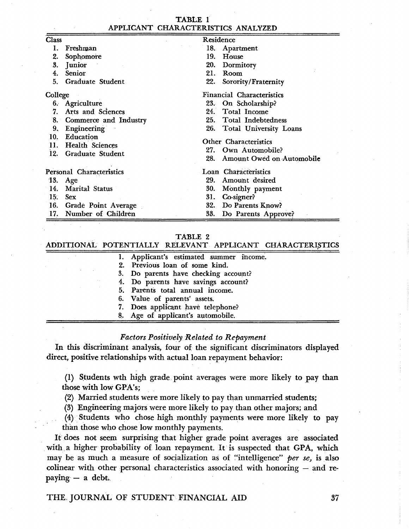|         | TABLE 1                                                  |                                                                                     |  |  |
|---------|----------------------------------------------------------|-------------------------------------------------------------------------------------|--|--|
|         | APPLICANT CHARACTERISTICS ANALYZED                       |                                                                                     |  |  |
| Class   | Residence                                                |                                                                                     |  |  |
|         | Freshman                                                 | 18.<br>Apartment                                                                    |  |  |
| 2.      | Sophomore                                                | 19.<br>House                                                                        |  |  |
| 3.      | Junior                                                   | 20.<br>Dormitory                                                                    |  |  |
| 4.      | Senior                                                   | 21.<br>Room                                                                         |  |  |
| 5.      | Graduate Student                                         | 22.<br>Sorority/Fraternity                                                          |  |  |
| College |                                                          | <b>Financial Characteristics</b>                                                    |  |  |
|         | 6. Agriculture                                           | 23. On Scholarship?                                                                 |  |  |
| 7.      | Arts and Sciences                                        | 24. Total Income                                                                    |  |  |
|         | 8. Commerce and Industry                                 | 25. Total Indebtedness                                                              |  |  |
| 9.      | Engineering                                              | 26.<br>Total University Loans                                                       |  |  |
| 12.     | 10. Education<br>11. Health Sciences<br>Graduate Student | Other Characteristics<br>27.<br>Own Automobile?<br>Amount Owed on Automobile<br>28. |  |  |
|         | Personal Characteristics                                 | Loan Characteristics                                                                |  |  |
| 13.     | Age                                                      | 29.<br>Amount desired                                                               |  |  |
| 14.     | Marital Status                                           | 30.<br>Monthly payment                                                              |  |  |
| 15.     | <b>Sex</b>                                               | 31.<br>Co-signer?                                                                   |  |  |
|         | 16. Grade Point Average                                  | Do Parents Know?<br>32.                                                             |  |  |
|         | 17. Number of Children                                   | 33.<br>Do Parents Approve?                                                          |  |  |

#### TABLE 2

#### ADDITIONAL POTENTIALLY RELEVANT APPLICANT CHARACTERISTICS

|  | 1. Applicant's estimated summer income. |
|--|-----------------------------------------|
|  | 2. Previous loan of some kind.          |
|  | 3. Do parents have checking account?    |
|  | 4. Do parents have savings account?     |
|  | 5. Parents total annual income.         |
|  | 6. Value of parents' assets.            |
|  | 7. Does applicant have telephone?       |
|  | 8. Age of applicant's automobile.       |
|  |                                         |

### *Factors Positively Related to Repayment*

lp. this discriminant analysis, four of the significant discriminators displayed direct, positive relationships with actual loan repayment behavior:

(1) Students wth high grade point averages were more likely to pay than those with low GPA's;

(2) Married students were more likely to pay than unmarried students;

(3) Engineering majors were more likely to pay than other majors; and

 $(4)$  Students who chose high monthly payments were more likely to pay than those who chose low monthly payments.

It does not seem surprising that higher grade point averages are associated with a higher probability of loan repayment. It is suspected that GPA, which may be as much a measure of socialization as of "intelligence" *per se*, is also colinear with other personal characteristics associated with honoring  $-$  and repaying  $-$  a debt.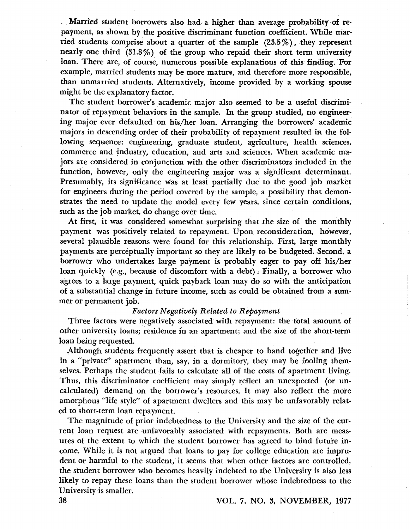Married student borrowers also had a higher than average probability of repayment, as shown by the positive discriminant function coefficient. While married students comprise about a quarter of the sample  $(23.5\%)$ , they represent nearly one third (31.8%) of the group who repaid their short term university loan. There are, of course, numerous possible explanations of this finding. For example, married students may be more mature, and therefore more responsible, than unmarried students. Alternatively, income provided by a working spouse might be the explanatory factor.

The student borrower's academic major also seemed to be a useful discriminator of repayment behaviors in the sample. In the group studied, no engineering major ever defaulted· on his/her loan. Arranging the borrowers' academic majors in descending order of their probability of repayment resulted in the fol lowing sequence: engineering, graduate student, agriculture, health sciences, commerce and industry, education, and arts and sciences. When academic majors are considered in conjunction with the other discriminators included in the function, however, only the engineering major was a significant determinant. Presumably, its significance was at least partially due to the good job market for engineers during the period covered by the sample, a possibility that demonstrates the need to update the model every few years, since certain conditions, such as the job market, do change over time.

At first, it was considered somewhat surprising that the size of the monthly payment was positively related to repayment. Upon reconsideration, however, several plausible reasons were found for this relationship. First; large monthly payments are perceptually important so they are likely to be budgeted. Second. a borrower who undertakes large payment is probably eager to payoff his/her loan quickly (e.g., because of discomfort with a debt). Finally, a borrower who agrees to a iarge payment, quick payback loan may do so with the anticipation of a substantial Change in future income, such as could be obtained from a summer or permanent job.

#### *Factors Negatively Related to Repayment*

Three factors were negatively associated with repayment: the total amount of other university loans; residence in an apartment; and the size of the short-term loan being requested.

Although students frequently assert that is cheaper to band together and live in a "private" apartment than, say, in a dormitory, they may be fooling themselves. Perhaps the student fails to calculate all of the costs of apartment living. Thus, this discriminator coefficient may simply reflect an unexpected (or uncalculated) demand on the borrower's resources. It may also reflect the more amorphous "life style" of apartment dwellers and this may be unfavorably related to short~term loan repayment.

The magnitude of prior indebtedness to the University and the size of the current loan request are unfavorably associated with repayments. Both are measures of the extent to which the student borrower has agreed to bind future income. While it is not argued that loans to pay for college education are imprudent or harmful to the student, it seems that when other factors are controlled, the student borrower who becomes heavily indebted to the University is also less likely to repay these loans than the student borrower whose indebtedness to the University is smaller.

## 38 VOL. 7. NO.3, NOVEMBER, 1977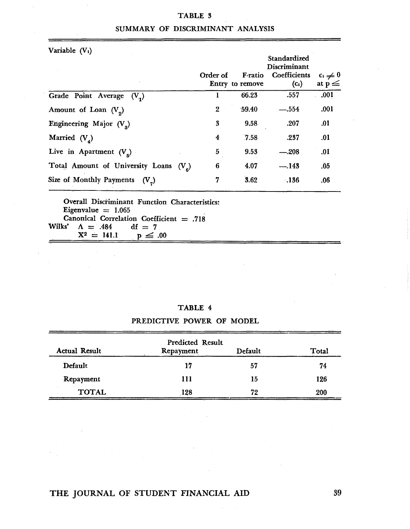## TABLE 3

|  | SUMMARY OF DISCRIMINANT ANALYSIS |  |
|--|----------------------------------|--|
|  |                                  |  |

Variable  $(V_i)$ 

|                                                    | Order of       | F-ratio<br>Entry to remove | Standardized<br>Discriminant<br>Coefficients<br>$(c_i)$ | $c_i \neq 0$<br>at $p \leq$ |
|----------------------------------------------------|----------------|----------------------------|---------------------------------------------------------|-----------------------------|
| Grade Point Average<br>$(V_1)$                     |                | 66.23                      | .557                                                    | .001                        |
| Amount of Loan $(V_2)$                             | $\mathbf{2}$   | 59.40                      | $-.554$                                                 | .001                        |
| Engineering Major $(V2)$                           | 3              | 9.58                       | .207                                                    | .01                         |
| Married $(V_4)$                                    | 4              | 7.58                       | .237                                                    | .01                         |
| Live in Apartment $(V5)$                           | 5              | 9.53                       | $-.208$                                                 | .01                         |
| Total Amount of University Loans (V <sub>e</sub> ) | 6              | 4.07                       | $-.143$                                                 | .05                         |
| Size of Monthly Payments<br>$(V_{\sigma})$         | $\overline{7}$ | 3.62                       | .136                                                    | .06                         |

Overall Discriminant Function Characteristics: Eigenvalue  $= 1.065$ Canonical Correlation Coefficient = .718<br>  $ks'$   $A = .484$   $df = 7$ Wilks'  $A = .484$  df = 7<br> $X^2 = 141.1$  p  $\leq .00$  $X^2 = 141.1$ 

| <b>ABLE</b> |  |
|-------------|--|
|-------------|--|

## PREDICTIVE POWER OF MODEL

|                      | Predicted Result |         |       |
|----------------------|------------------|---------|-------|
| <b>Actual Result</b> | Repayment        | Default | Total |
| Default              | 17               | 57      | 74    |
| Repayment            | 111              | 15      | 126   |
| <b>TOTAL</b>         | 128              | 72      | 200   |

## THE JOURNAL OF STUDENT FINANCIAL AID